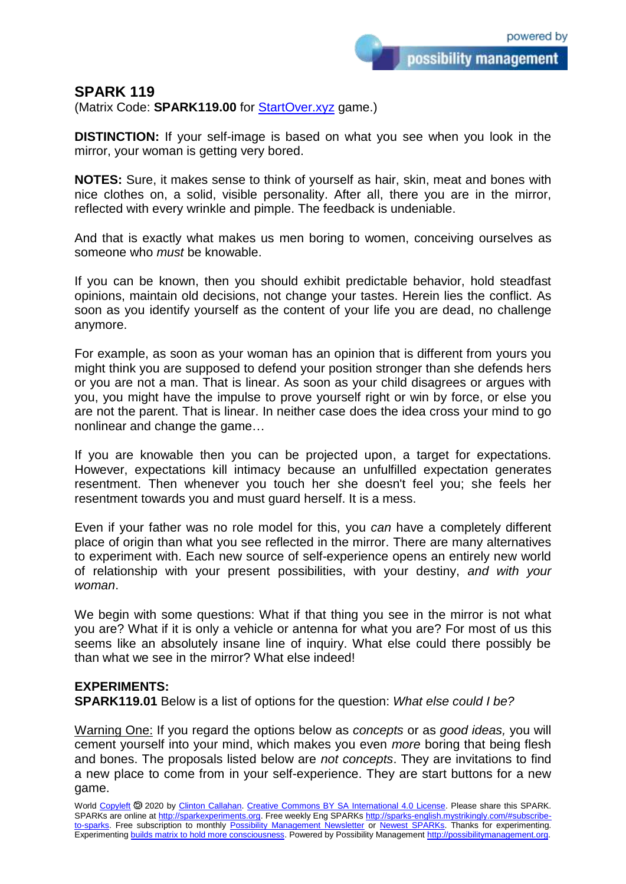possibility management

## **SPARK 119**

(Matrix Code: **SPARK119.00** for **StartOver.xyz** game.)

**DISTINCTION:** If your self-image is based on what you see when you look in the mirror, your woman is getting very bored.

**NOTES:** Sure, it makes sense to think of yourself as hair, skin, meat and bones with nice clothes on, a solid, visible personality. After all, there you are in the mirror, reflected with every wrinkle and pimple. The feedback is undeniable.

And that is exactly what makes us men boring to women, conceiving ourselves as someone who *must* be knowable.

If you can be known, then you should exhibit predictable behavior, hold steadfast opinions, maintain old decisions, not change your tastes. Herein lies the conflict. As soon as you identify yourself as the content of your life you are dead, no challenge anymore.

For example, as soon as your woman has an opinion that is different from yours you might think you are supposed to defend your position stronger than she defends hers or you are not a man. That is linear. As soon as your child disagrees or argues with you, you might have the impulse to prove yourself right or win by force, or else you are not the parent. That is linear. In neither case does the idea cross your mind to go nonlinear and change the game…

If you are knowable then you can be projected upon, a target for expectations. However, expectations kill intimacy because an unfulfilled expectation generates resentment. Then whenever you touch her she doesn't feel you; she feels her resentment towards you and must guard herself. It is a mess.

Even if your father was no role model for this, you *can* have a completely different place of origin than what you see reflected in the mirror. There are many alternatives to experiment with. Each new source of self-experience opens an entirely new world of relationship with your present possibilities, with your destiny, *and with your woman*.

We begin with some questions: What if that thing you see in the mirror is not what you are? What if it is only a vehicle or antenna for what you are? For most of us this seems like an absolutely insane line of inquiry. What else could there possibly be than what we see in the mirror? What else indeed!

## **EXPERIMENTS:**

**SPARK119.01** Below is a list of options for the question: *What else could I be?*

Warning One: If you regard the options below as *concepts* or as *good ideas,* you will cement yourself into your mind, which makes you even *more* boring that being flesh and bones. The proposals listed below are *not concepts*. They are invitations to find a new place to come from in your self-experience. They are start buttons for a new game.

World [Copyleft](https://en.wikipedia.org/wiki/Copyleft) <sup>5</sup> 2020 by [Clinton Callahan.](http://clintoncallahan.mystrikingly.com/) [Creative Commons BY SA International 4.0 License.](https://creativecommons.org/licenses/by-sa/4.0/) Please share this SPARK. SPARKs are online at [http://sparkexperiments.org.](http://sparks-english.mystrikingly.com/) Free weekly Eng SPARKs [http://sparks-english.mystrikingly.com/#subscribe](http://sparks-english.mystrikingly.com/#subscribe-to-sparks)[to-sparks.](http://sparks-english.mystrikingly.com/#subscribe-to-sparks) Free subscription to monthly [Possibility Management Newsletter](https://possibilitymanagement.org/news/) or [Newest SPARKs.](https://www.clintoncallahan.org/newsletter-1) Thanks for experimenting. Experimentin[g builds matrix to hold more consciousness.](http://spaceport.mystrikingly.com/) Powered by Possibility Managemen[t http://possibilitymanagement.org.](http://possibilitymanagement.org/)